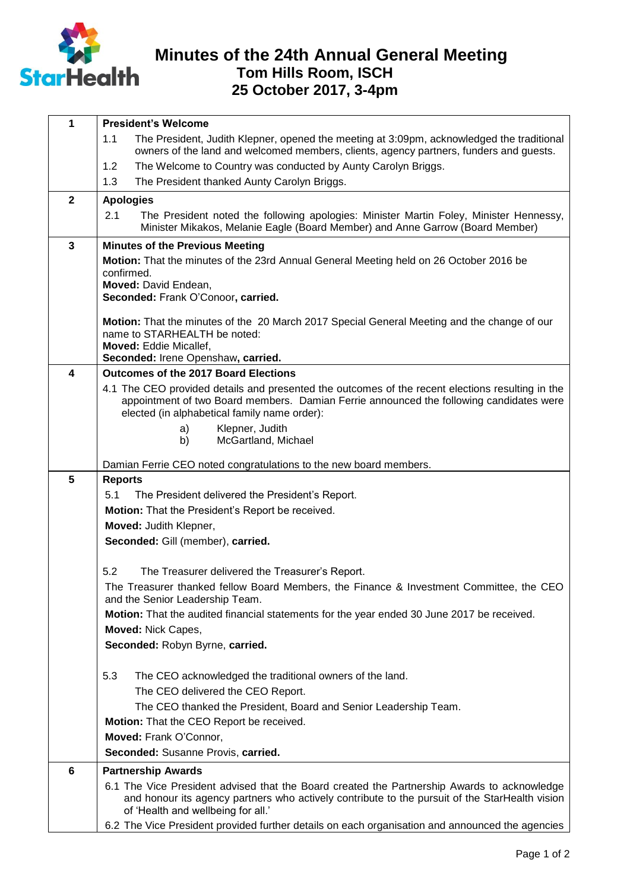

## **Minutes of the 24th Annual General Meeting Tom Hills Room, ISCH 25 October 2017, 3-4pm**

| 1                       | <b>President's Welcome</b>                                                                                                                                                                 |
|-------------------------|--------------------------------------------------------------------------------------------------------------------------------------------------------------------------------------------|
|                         | 1.1<br>The President, Judith Klepner, opened the meeting at 3:09pm, acknowledged the traditional<br>owners of the land and welcomed members, clients, agency partners, funders and guests. |
|                         | The Welcome to Country was conducted by Aunty Carolyn Briggs.<br>1.2                                                                                                                       |
|                         | 1.3<br>The President thanked Aunty Carolyn Briggs.                                                                                                                                         |
| $\overline{\mathbf{2}}$ | <b>Apologies</b>                                                                                                                                                                           |
|                         | 2.1<br>The President noted the following apologies: Minister Martin Foley, Minister Hennessy,<br>Minister Mikakos, Melanie Eagle (Board Member) and Anne Garrow (Board Member)             |
| $\mathbf{3}$            | <b>Minutes of the Previous Meeting</b>                                                                                                                                                     |
|                         | Motion: That the minutes of the 23rd Annual General Meeting held on 26 October 2016 be                                                                                                     |
|                         | confirmed.<br>Moved: David Endean,                                                                                                                                                         |
|                         | Seconded: Frank O'Conoor, carried.                                                                                                                                                         |
|                         |                                                                                                                                                                                            |
|                         | Motion: That the minutes of the 20 March 2017 Special General Meeting and the change of our<br>name to STARHEALTH be noted:                                                                |
|                         | Moved: Eddie Micallef,                                                                                                                                                                     |
|                         | Seconded: Irene Openshaw, carried.                                                                                                                                                         |
| 4                       | Outcomes of the 2017 Board Elections                                                                                                                                                       |
|                         | 4.1 The CEO provided details and presented the outcomes of the recent elections resulting in the                                                                                           |
|                         | appointment of two Board members. Damian Ferrie announced the following candidates were<br>elected (in alphabetical family name order):                                                    |
|                         | Klepner, Judith<br>a)                                                                                                                                                                      |
|                         | McGartland, Michael<br>b)                                                                                                                                                                  |
|                         |                                                                                                                                                                                            |
| $5\phantom{.0}$         | Damian Ferrie CEO noted congratulations to the new board members.<br><b>Reports</b>                                                                                                        |
|                         | 5.1<br>The President delivered the President's Report.                                                                                                                                     |
|                         | Motion: That the President's Report be received.                                                                                                                                           |
|                         | Moved: Judith Klepner,                                                                                                                                                                     |
|                         | Seconded: Gill (member), carried.                                                                                                                                                          |
|                         |                                                                                                                                                                                            |
|                         | 5.2<br>The Treasurer delivered the Treasurer's Report.                                                                                                                                     |
|                         | The Treasurer thanked fellow Board Members, the Finance & Investment Committee, the CEO                                                                                                    |
|                         | and the Senior Leadership Team.                                                                                                                                                            |
|                         | Motion: That the audited financial statements for the year ended 30 June 2017 be received.                                                                                                 |
|                         | <b>Moved: Nick Capes,</b>                                                                                                                                                                  |
|                         | Seconded: Robyn Byrne, carried.                                                                                                                                                            |
|                         | 5.3<br>The CEO acknowledged the traditional owners of the land.                                                                                                                            |
|                         | The CEO delivered the CEO Report.                                                                                                                                                          |
|                         | The CEO thanked the President, Board and Senior Leadership Team.                                                                                                                           |
|                         | Motion: That the CEO Report be received.                                                                                                                                                   |
|                         | Moved: Frank O'Connor,                                                                                                                                                                     |
|                         | Seconded: Susanne Provis, carried.                                                                                                                                                         |
| $6\phantom{1}6$         | <b>Partnership Awards</b>                                                                                                                                                                  |
|                         | 6.1 The Vice President advised that the Board created the Partnership Awards to acknowledge                                                                                                |
|                         | and honour its agency partners who actively contribute to the pursuit of the StarHealth vision<br>of 'Health and wellbeing for all.'                                                       |
|                         | 6.2 The Vice President provided further details on each organisation and announced the agencies                                                                                            |